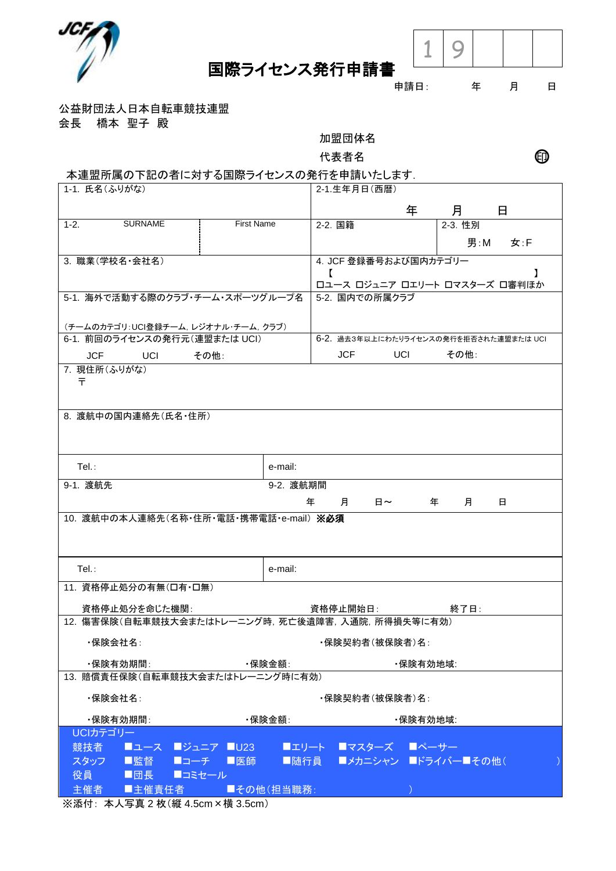



申請日: 年 月 日

公益財団法人日本自転車競技連盟

会長 橋本 聖子 殿

加盟団体名

代表者名 ショップ エングル ロンク ロンク ロンク ロンク ロンドウ こうしゃ

## 本連盟所属の下記の者に対する国際ライセンスの発行を申請いたします.

| 1-1. 氏名(ふりがな)                                                       |                      |                                                 |              | 2-1.生年月日(西暦)                                         |                  |                               |     |  |
|---------------------------------------------------------------------|----------------------|-------------------------------------------------|--------------|------------------------------------------------------|------------------|-------------------------------|-----|--|
|                                                                     |                      |                                                 |              |                                                      | 年                | 月                             | 日   |  |
| $1-2.$                                                              | <b>SURNAME</b>       | <b>First Name</b>                               |              | 2-2. 国籍                                              |                  | 2-3. 性別                       |     |  |
|                                                                     |                      |                                                 |              |                                                      |                  | 男 : M                         | 女:F |  |
| 3. 職業(学校名·会社名)                                                      |                      |                                                 |              | 4. JCF 登録番号および国内カテゴリー                                |                  |                               |     |  |
|                                                                     |                      |                                                 | $\mathbf{r}$ |                                                      |                  | ロユース ロジュニア ロエリート ロマスターズ 口審判ほか |     |  |
|                                                                     |                      | 5-1. 海外で活動する際のクラブ·チーム·スポーツグループ名                 |              | 5-2. 国内での所属クラブ                                       |                  |                               |     |  |
|                                                                     |                      |                                                 |              |                                                      |                  |                               |     |  |
| (チームのカテゴリ:UCI登録チーム, レジオナル・チーム, クラブ)<br>6-1. 前回のライセンスの発行元(連盟または UCI) |                      |                                                 |              |                                                      |                  |                               |     |  |
|                                                                     |                      |                                                 |              | 6-2. 過去3年以上にわたりライセンスの発行を拒否された連盟または UCI<br><b>JCF</b> |                  |                               |     |  |
| <b>JCF</b><br><b>Example UCI</b><br>その他:<br>7. 現住所(ふりがな)            |                      |                                                 |              |                                                      | UCI <sub>D</sub> | その他:                          |     |  |
| ᆍ                                                                   |                      |                                                 |              |                                                      |                  |                               |     |  |
|                                                                     |                      |                                                 |              |                                                      |                  |                               |     |  |
|                                                                     | 8. 渡航中の国内連絡先(氏名・住所)  |                                                 |              |                                                      |                  |                               |     |  |
|                                                                     |                      |                                                 |              |                                                      |                  |                               |     |  |
|                                                                     |                      |                                                 |              |                                                      |                  |                               |     |  |
|                                                                     |                      |                                                 |              |                                                      |                  |                               |     |  |
| $Tel.$ :                                                            |                      |                                                 | e-mail:      |                                                      |                  |                               |     |  |
| 9-1. 渡航先                                                            |                      |                                                 | 9-2. 渡航期間    |                                                      |                  |                               |     |  |
|                                                                     |                      |                                                 | 年            | 月<br>日~                                              |                  | 年<br>月                        | 日   |  |
|                                                                     |                      |                                                 |              |                                                      |                  |                               |     |  |
|                                                                     |                      | 10. 渡航中の本人連絡先(名称·住所·電話·携帯電話·e-mail) ※必須         |              |                                                      |                  |                               |     |  |
|                                                                     |                      |                                                 |              |                                                      |                  |                               |     |  |
|                                                                     |                      |                                                 |              |                                                      |                  |                               |     |  |
| Tel.:                                                               |                      |                                                 | e-mail:      |                                                      |                  |                               |     |  |
|                                                                     |                      |                                                 |              |                                                      |                  |                               |     |  |
|                                                                     | 11. 資格停止処分の有無(口有・口無) |                                                 |              |                                                      |                  |                               |     |  |
|                                                                     | 資格停止処分を命じた機関:        |                                                 |              |                                                      |                  | 終了日:                          |     |  |
|                                                                     |                      | 12. 傷害保険(自転車競技大会またはトレーニング時,死亡後遺障害,入通院,所得損失等に有効) |              |                                                      |                  |                               |     |  |
| ・保険会社名∶                                                             |                      |                                                 |              | ・保険契約者(被保険者)名:                                       |                  |                               |     |  |
| ・保険有効期間:                                                            |                      | ・保険金額∶                                          |              |                                                      | ・保険有効地域:         |                               |     |  |
|                                                                     |                      | 13. 賠償責任保険(自転車競技大会またはトレーニング時に有効)                |              |                                                      |                  |                               |     |  |
| ・保険会社名∶                                                             |                      |                                                 |              | ・保険契約者(被保険者)名:                                       |                  |                               |     |  |
| ・保険有効期間:                                                            |                      | ・保険金額∶                                          |              |                                                      | ・保険有効地域:         |                               |     |  |
| UCIカテゴリー                                                            |                      |                                                 |              |                                                      |                  |                               |     |  |
| 競技者                                                                 |                      | ■ユース ■ジュニア ■U23 ■                               |              | ■エリート ■マスターズ ■ペーサー                                   |                  |                               |     |  |
| スタッフ                                                                | ■監督  ■コーチ  ■医師       |                                                 |              |                                                      |                  | ■随行員 ■メカニシャン ■ドライバー■その他(      |     |  |
| 役員<br>主催者                                                           | ■団長 ■コミセール<br>■主催責任者 | ■その他(担当職務:                                      |              |                                                      |                  |                               |     |  |

※添付: 本人写真 2 枚(縦 4.5cm×横 3.5cm)